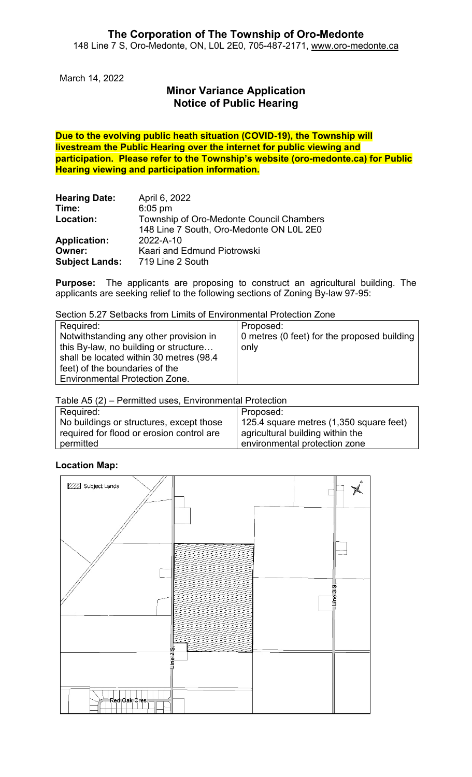March 14, 2022

# **Minor Variance Application Notice of Public Hearing**

**Due to the evolving public heath situation (COVID-19), the Township will livestream the Public Hearing over the internet for public viewing and participation. Please refer to the Township's website (oro-medonte.ca) for Public Hearing viewing and participation information.**

| <b>Hearing Date:</b>  | April 6, 2022                            |
|-----------------------|------------------------------------------|
| Time:                 | $6:05$ pm                                |
| Location:             | Township of Oro-Medonte Council Chambers |
|                       | 148 Line 7 South, Oro-Medonte ON L0L 2E0 |
| <b>Application:</b>   | 2022-A-10                                |
| Owner:                | Kaari and Edmund Piotrowski              |
| <b>Subject Lands:</b> | 719 Line 2 South                         |

**Purpose:** The applicants are proposing to construct an agricultural building. The applicants are seeking relief to the following sections of Zoning By-law 97-95:

Section 5.27 Setbacks from Limits of Environmental Protection Zone

| Required:                                | Proposed:                                   |  |
|------------------------------------------|---------------------------------------------|--|
| Notwithstanding any other provision in   | 0 metres (0 feet) for the proposed building |  |
| this By-law, no building or structure    | only                                        |  |
| shall be located within 30 metres (98.4) |                                             |  |
| feet) of the boundaries of the           |                                             |  |
| <b>Environmental Protection Zone.</b>    |                                             |  |

Table A5 (2) – Permitted uses, Environmental Protection

| Required:                                 | Proposed:                                  |
|-------------------------------------------|--------------------------------------------|
| No buildings or structures, except those  | 125.4 square metres $(1,350)$ square feet) |
| required for flood or erosion control are | agricultural building within the           |
| permitted                                 | environmental protection zone              |

### **Location Map:**

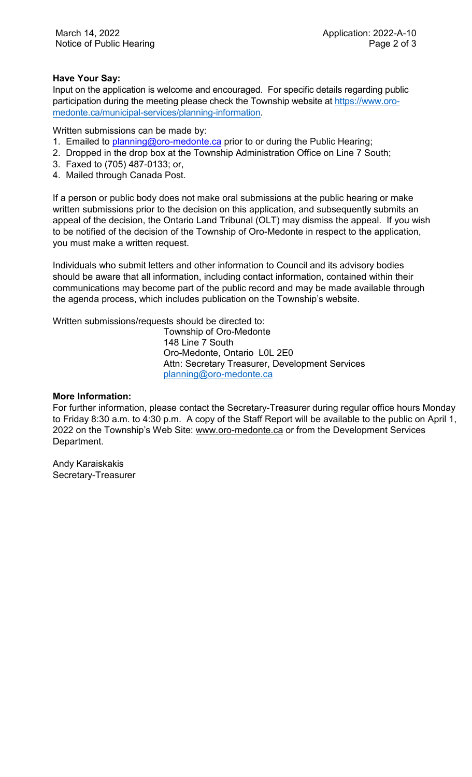### **Have Your Say:**

Input on the application is welcome and encouraged. For specific details regarding public participation during the meeting please check the Township website at [https://www.oro](https://www.oro-medonte.ca/municipal-services/planning-information)[medonte.ca/municipal-services/planning-information.](https://www.oro-medonte.ca/municipal-services/planning-information)

Written submissions can be made by:

- 1. Emailed to [planning@oro-medonte.ca](mailto:planning@oro-medonte.ca) prior to or during the Public Hearing;
- 2. Dropped in the drop box at the Township Administration Office on Line 7 South;
- 3. Faxed to (705) 487-0133; or,
- 4. Mailed through Canada Post.

If a person or public body does not make oral submissions at the public hearing or make written submissions prior to the decision on this application, and subsequently submits an appeal of the decision, the Ontario Land Tribunal (OLT) may dismiss the appeal. If you wish to be notified of the decision of the Township of Oro-Medonte in respect to the application, you must make a written request.

Individuals who submit letters and other information to Council and its advisory bodies should be aware that all information, including contact information, contained within their communications may become part of the public record and may be made available through the agenda process, which includes publication on the Township's website.

Written submissions/requests should be directed to:

Township of Oro-Medonte 148 Line 7 South Oro-Medonte, Ontario L0L 2E0 Attn: Secretary Treasurer, Development Services [planning@oro-medonte.ca](mailto:planning@oro-medonte.ca)

### **More Information:**

For further information, please contact the Secretary-Treasurer during regular office hours Monday to Friday 8:30 a.m. to 4:30 p.m. A copy of the Staff Report will be available to the public on April 1, 2022 on the Township's Web Site: [www.oro-medonte.ca](http://www.oro-medonte.ca/) or from the Development Services Department.

Andy Karaiskakis Secretary-Treasurer